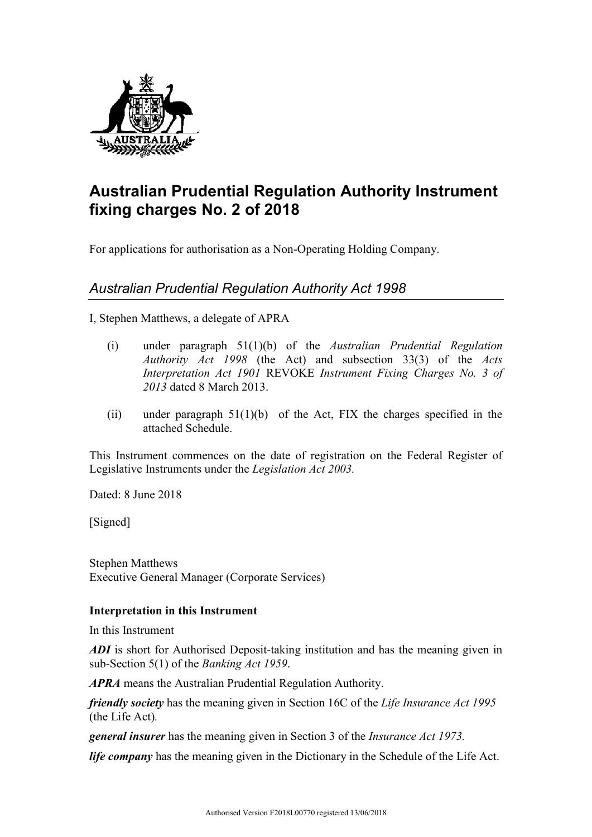

## **Australian Prudential Regulation Authority Instrument fixing charges No. 2 of 2018**

For applications for authorisation as a Non-Operating Holding Company.

## *Australian Prudential Regulation Authority Act 1998*

I, Stephen Matthews, a delegate of APRA

- (i) under paragraph 51(1)(b) of the *Australian Prudential Regulation Authority Act 1998* (the Act) and subsection 33(3) of the *Acts Interpretation Act 1901* REVOKE *Instrument Fixing Charges No. 3 of 2013* dated 8 March 2013.
- (ii) under paragraph  $51(1)(b)$  of the Act, FIX the charges specified in the attached Schedule.

This Instrument commences on the date of registration on the Federal Register of Legislative Instruments under the *Legislation Act 2003.*

Dated: 8 June 2018

[Signed]

Stephen Matthews Executive General Manager (Corporate Services)

## **Interpretation in this Instrument**

In this Instrument

*ADI* is short for Authorised Deposit-taking institution and has the meaning given in sub-Section 5(1) of the *Banking Act 1959*.

*APRA* means the Australian Prudential Regulation Authority.

*friendly society* has the meaning given in Section 16C of the *Life Insurance Act 1995*  (the Life Act)*.*

*general insurer* has the meaning given in Section 3 of the *Insurance Act 1973.*

*life company* has the meaning given in the Dictionary in the Schedule of the Life Act.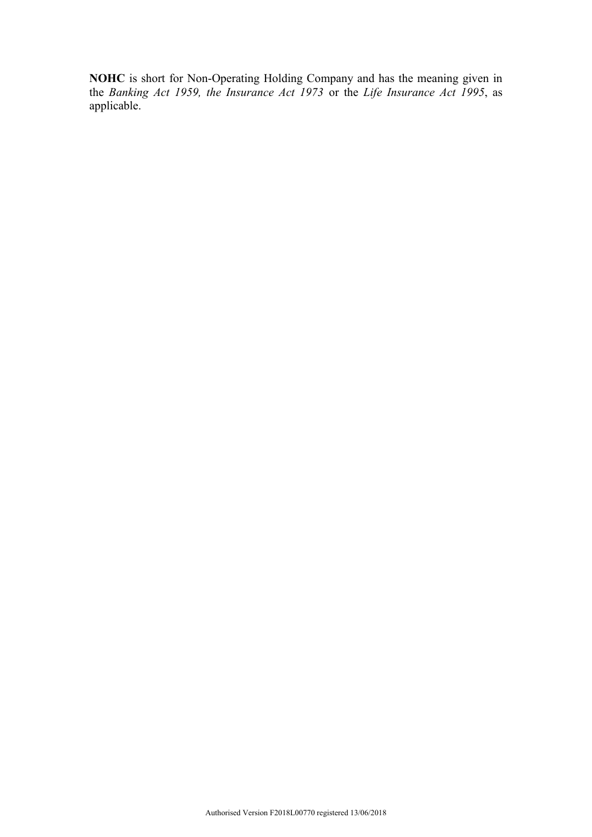**NOHC** is short for Non-Operating Holding Company and has the meaning given in the *Banking Act 1959, the Insurance Act 1973* or the *Life Insurance Act 1995*, as applicable.